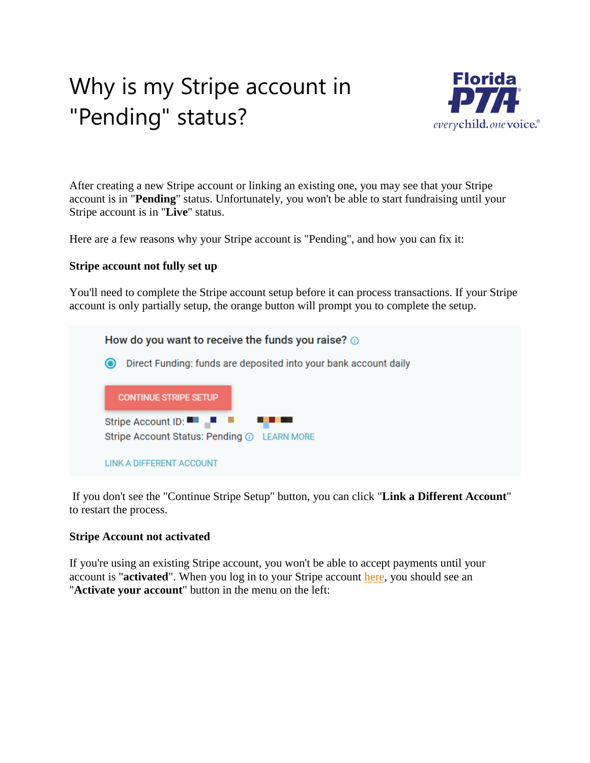## Why is my Stripe account in "Pending" status?



After creating a new Stripe account or linking an existing one, you may see that your Stripe account is in "**Pending**" status. Unfortunately, you won't be able to start fundraising until your Stripe account is in "**Live**" status.

Here are a few reasons why your Stripe account is "Pending", and how you can fix it:

## **Stripe account not fully set up**

You'll need to complete the Stripe account setup before it can process transactions. If your Stripe account is only partially setup, the orange button will prompt you to complete the setup.

How do you want to receive the funds you raise? 3 **O** Direct Funding: funds are deposited into your bank account daily **CONTINUE STRIPE SETUP** Stripe Account ID:  $\blacksquare$ Stripe Account Status: Pending 1 LEARN MORE **LINK A DIFFERENT ACCOUNT** 

If you don't see the "Continue Stripe Setup" button, you can click "**Link a Different Account**" to restart the process.

## **Stripe Account not activated**

If you're using an existing Stripe account, you won't be able to accept payments until your account is "**activated**". When you log in to your Stripe account [here,](https://dashboard.stripe.com/) you should see an "**Activate your account**" button in the menu on the left: